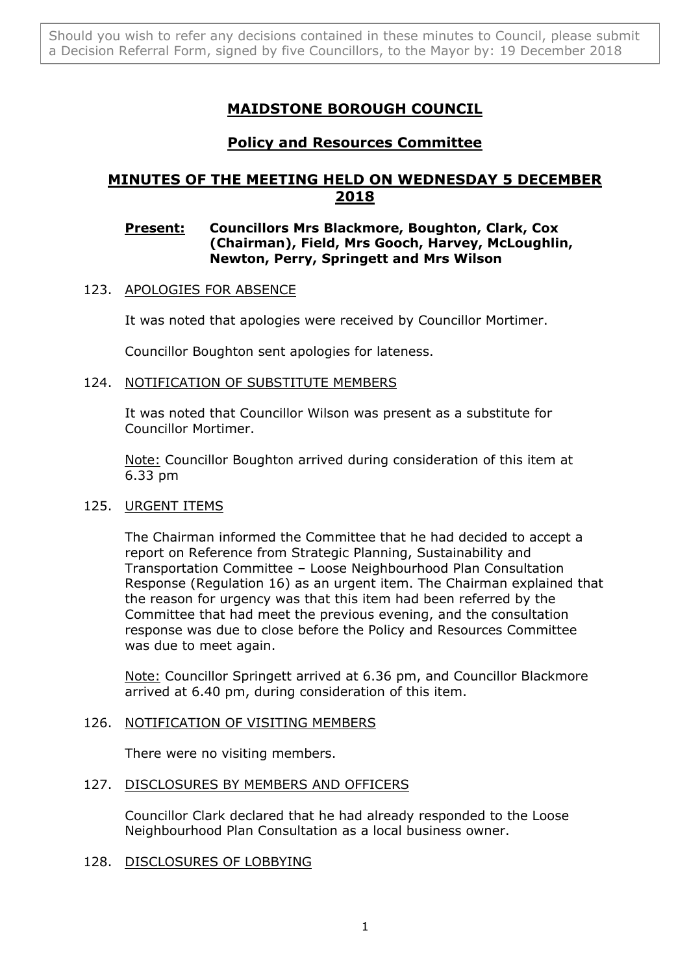# **MAIDSTONE BOROUGH COUNCIL**

## **Policy and Resources Committee**

## **MINUTES OF THE MEETING HELD ON WEDNESDAY 5 DECEMBER 2018**

## **Present: Councillors Mrs Blackmore, Boughton, Clark, Cox (Chairman), Field, Mrs Gooch, Harvey, McLoughlin, Newton, Perry, Springett and Mrs Wilson**

## 123. APOLOGIES FOR ABSENCE

It was noted that apologies were received by Councillor Mortimer.

Councillor Boughton sent apologies for lateness.

## 124. NOTIFICATION OF SUBSTITUTE MEMBERS

It was noted that Councillor Wilson was present as a substitute for Councillor Mortimer.

Note: Councillor Boughton arrived during consideration of this item at 6.33 pm

## 125. URGENT ITEMS

The Chairman informed the Committee that he had decided to accept a report on Reference from Strategic Planning, Sustainability and Transportation Committee – Loose Neighbourhood Plan Consultation Response (Regulation 16) as an urgent item. The Chairman explained that the reason for urgency was that this item had been referred by the Committee that had meet the previous evening, and the consultation response was due to close before the Policy and Resources Committee was due to meet again.

Note: Councillor Springett arrived at 6.36 pm, and Councillor Blackmore arrived at 6.40 pm, during consideration of this item.

## 126. NOTIFICATION OF VISITING MEMBERS

There were no visiting members.

## 127. DISCLOSURES BY MEMBERS AND OFFICERS

Councillor Clark declared that he had already responded to the Loose Neighbourhood Plan Consultation as a local business owner.

## 128. DISCLOSURES OF LOBBYING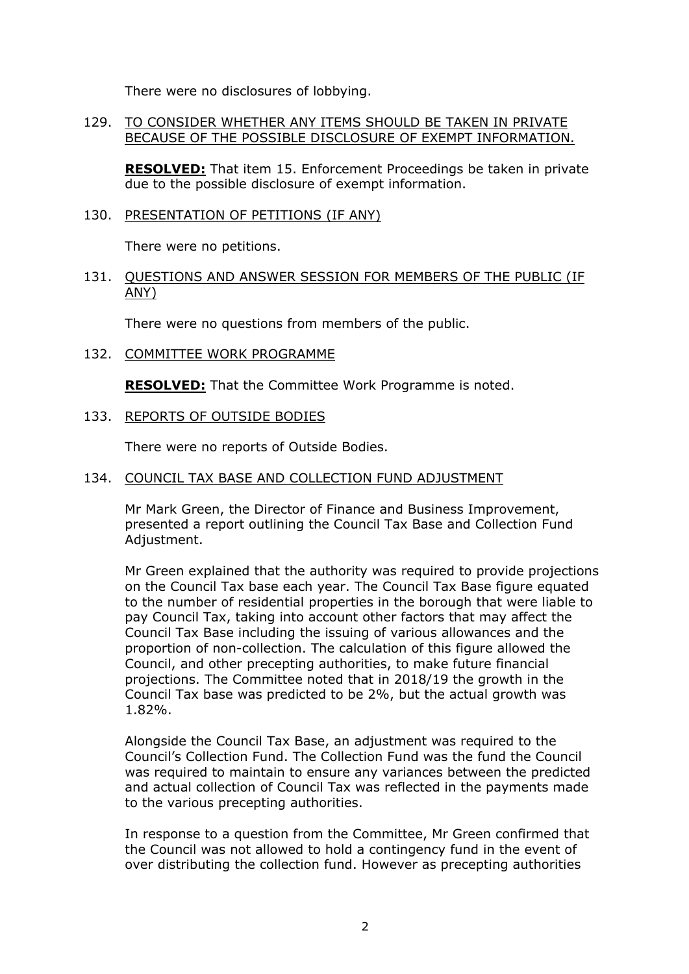There were no disclosures of lobbying.

#### 129. TO CONSIDER WHETHER ANY ITEMS SHOULD BE TAKEN IN PRIVATE BECAUSE OF THE POSSIBLE DISCLOSURE OF EXEMPT INFORMATION.

**RESOLVED:** That item 15. Enforcement Proceedings be taken in private due to the possible disclosure of exempt information.

### 130. PRESENTATION OF PETITIONS (IF ANY)

There were no petitions.

#### 131. QUESTIONS AND ANSWER SESSION FOR MEMBERS OF THE PUBLIC (IF ANY)

There were no questions from members of the public.

132. COMMITTEE WORK PROGRAMME

**RESOLVED:** That the Committee Work Programme is noted.

133. REPORTS OF OUTSIDE BODIES

There were no reports of Outside Bodies.

#### 134. COUNCIL TAX BASE AND COLLECTION FUND ADJUSTMENT

Mr Mark Green, the Director of Finance and Business Improvement, presented a report outlining the Council Tax Base and Collection Fund Adjustment.

Mr Green explained that the authority was required to provide projections on the Council Tax base each year. The Council Tax Base figure equated to the number of residential properties in the borough that were liable to pay Council Tax, taking into account other factors that may affect the Council Tax Base including the issuing of various allowances and the proportion of non-collection. The calculation of this figure allowed the Council, and other precepting authorities, to make future financial projections. The Committee noted that in 2018/19 the growth in the Council Tax base was predicted to be 2%, but the actual growth was 1.82%.

Alongside the Council Tax Base, an adjustment was required to the Council's Collection Fund. The Collection Fund was the fund the Council was required to maintain to ensure any variances between the predicted and actual collection of Council Tax was reflected in the payments made to the various precepting authorities.

In response to a question from the Committee, Mr Green confirmed that the Council was not allowed to hold a contingency fund in the event of over distributing the collection fund. However as precepting authorities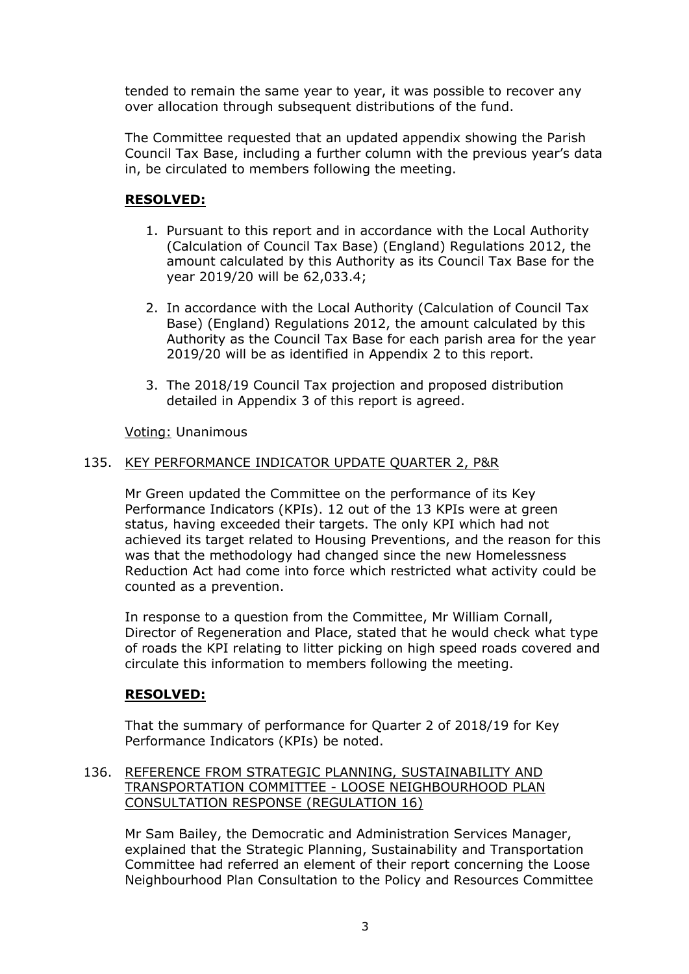tended to remain the same year to year, it was possible to recover any over allocation through subsequent distributions of the fund.

The Committee requested that an updated appendix showing the Parish Council Tax Base, including a further column with the previous year's data in, be circulated to members following the meeting.

## **RESOLVED:**

- 1. Pursuant to this report and in accordance with the Local Authority (Calculation of Council Tax Base) (England) Regulations 2012, the amount calculated by this Authority as its Council Tax Base for the year 2019/20 will be 62,033.4;
- 2. In accordance with the Local Authority (Calculation of Council Tax Base) (England) Regulations 2012, the amount calculated by this Authority as the Council Tax Base for each parish area for the year 2019/20 will be as identified in Appendix 2 to this report.
- 3. The 2018/19 Council Tax projection and proposed distribution detailed in Appendix 3 of this report is agreed.

Voting: Unanimous

## 135. KEY PERFORMANCE INDICATOR UPDATE QUARTER 2, P&R

Mr Green updated the Committee on the performance of its Key Performance Indicators (KPIs). 12 out of the 13 KPIs were at green status, having exceeded their targets. The only KPI which had not achieved its target related to Housing Preventions, and the reason for this was that the methodology had changed since the new Homelessness Reduction Act had come into force which restricted what activity could be counted as a prevention.

In response to a question from the Committee, Mr William Cornall, Director of Regeneration and Place, stated that he would check what type of roads the KPI relating to litter picking on high speed roads covered and circulate this information to members following the meeting.

## **RESOLVED:**

That the summary of performance for Quarter 2 of 2018/19 for Key Performance Indicators (KPIs) be noted.

### 136. REFERENCE FROM STRATEGIC PLANNING, SUSTAINABILITY AND TRANSPORTATION COMMITTEE - LOOSE NEIGHBOURHOOD PLAN CONSULTATION RESPONSE (REGULATION 16)

Mr Sam Bailey, the Democratic and Administration Services Manager, explained that the Strategic Planning, Sustainability and Transportation Committee had referred an element of their report concerning the Loose Neighbourhood Plan Consultation to the Policy and Resources Committee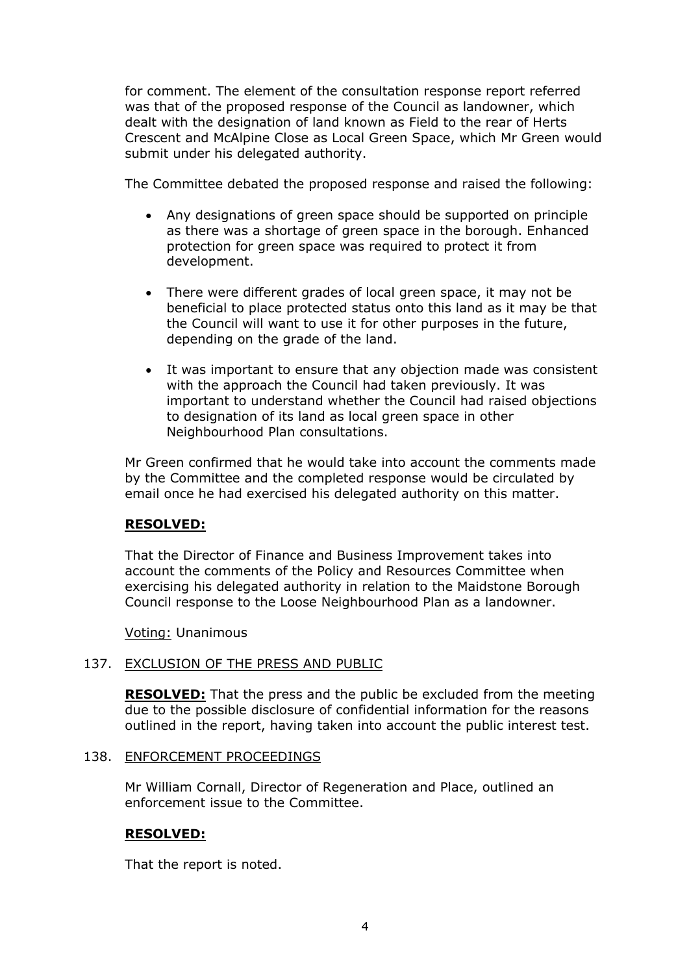for comment. The element of the consultation response report referred was that of the proposed response of the Council as landowner, which dealt with the designation of land known as Field to the rear of Herts Crescent and McAlpine Close as Local Green Space, which Mr Green would submit under his delegated authority.

The Committee debated the proposed response and raised the following:

- Any designations of green space should be supported on principle as there was a shortage of green space in the borough. Enhanced protection for green space was required to protect it from development.
- There were different grades of local green space, it may not be beneficial to place protected status onto this land as it may be that the Council will want to use it for other purposes in the future, depending on the grade of the land.
- It was important to ensure that any objection made was consistent with the approach the Council had taken previously. It was important to understand whether the Council had raised objections to designation of its land as local green space in other Neighbourhood Plan consultations.

Mr Green confirmed that he would take into account the comments made by the Committee and the completed response would be circulated by email once he had exercised his delegated authority on this matter.

## **RESOLVED:**

That the Director of Finance and Business Improvement takes into account the comments of the Policy and Resources Committee when exercising his delegated authority in relation to the Maidstone Borough Council response to the Loose Neighbourhood Plan as a landowner.

Voting: Unanimous

## 137. EXCLUSION OF THE PRESS AND PUBLIC

**RESOLVED:** That the press and the public be excluded from the meeting due to the possible disclosure of confidential information for the reasons outlined in the report, having taken into account the public interest test.

#### 138. ENFORCEMENT PROCEEDINGS

Mr William Cornall, Director of Regeneration and Place, outlined an enforcement issue to the Committee.

#### **RESOLVED:**

That the report is noted.